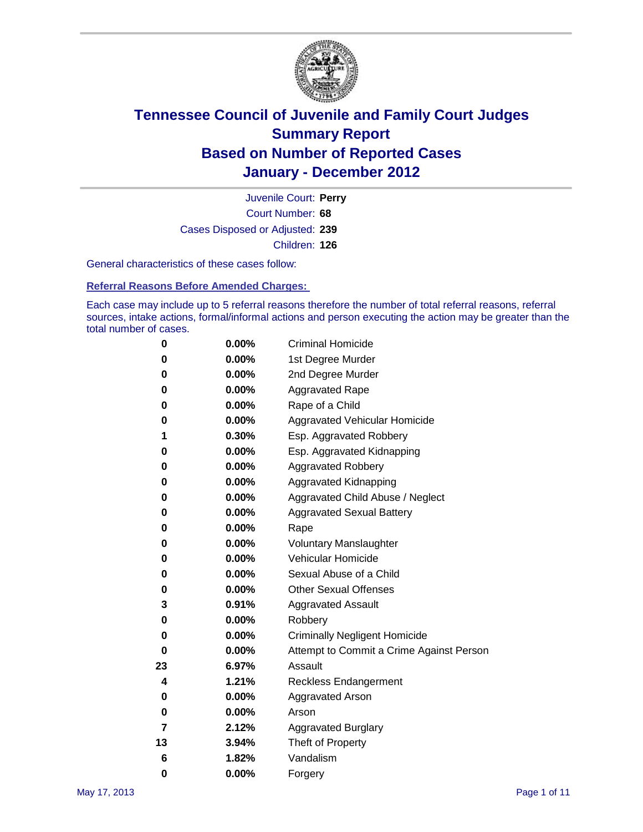

Court Number: **68** Juvenile Court: **Perry** Cases Disposed or Adjusted: **239** Children: **126**

General characteristics of these cases follow:

**Referral Reasons Before Amended Charges:** 

Each case may include up to 5 referral reasons therefore the number of total referral reasons, referral sources, intake actions, formal/informal actions and person executing the action may be greater than the total number of cases.

| 0  | 0.00%    | <b>Criminal Homicide</b>                 |  |  |  |
|----|----------|------------------------------------------|--|--|--|
| 0  | 0.00%    | 1st Degree Murder                        |  |  |  |
| 0  | 0.00%    | 2nd Degree Murder                        |  |  |  |
| 0  | 0.00%    | <b>Aggravated Rape</b>                   |  |  |  |
| 0  | 0.00%    | Rape of a Child                          |  |  |  |
| 0  | 0.00%    | Aggravated Vehicular Homicide            |  |  |  |
| 1  | 0.30%    | Esp. Aggravated Robbery                  |  |  |  |
| 0  | 0.00%    | Esp. Aggravated Kidnapping               |  |  |  |
| 0  | 0.00%    | <b>Aggravated Robbery</b>                |  |  |  |
| 0  | 0.00%    | Aggravated Kidnapping                    |  |  |  |
| 0  | 0.00%    | Aggravated Child Abuse / Neglect         |  |  |  |
| 0  | $0.00\%$ | <b>Aggravated Sexual Battery</b>         |  |  |  |
| 0  | 0.00%    | Rape                                     |  |  |  |
| 0  | $0.00\%$ | <b>Voluntary Manslaughter</b>            |  |  |  |
| 0  | 0.00%    | Vehicular Homicide                       |  |  |  |
| 0  | 0.00%    | Sexual Abuse of a Child                  |  |  |  |
| 0  | 0.00%    | <b>Other Sexual Offenses</b>             |  |  |  |
| 3  | 0.91%    | <b>Aggravated Assault</b>                |  |  |  |
| 0  | $0.00\%$ | Robbery                                  |  |  |  |
| 0  | 0.00%    | <b>Criminally Negligent Homicide</b>     |  |  |  |
| 0  | 0.00%    | Attempt to Commit a Crime Against Person |  |  |  |
| 23 | 6.97%    | Assault                                  |  |  |  |
| 4  | 1.21%    | <b>Reckless Endangerment</b>             |  |  |  |
| 0  | 0.00%    | <b>Aggravated Arson</b>                  |  |  |  |
| 0  | 0.00%    | Arson                                    |  |  |  |
| 7  | 2.12%    | <b>Aggravated Burglary</b>               |  |  |  |
| 13 | 3.94%    | Theft of Property                        |  |  |  |
| 6  | 1.82%    | Vandalism                                |  |  |  |
| 0  | 0.00%    | Forgery                                  |  |  |  |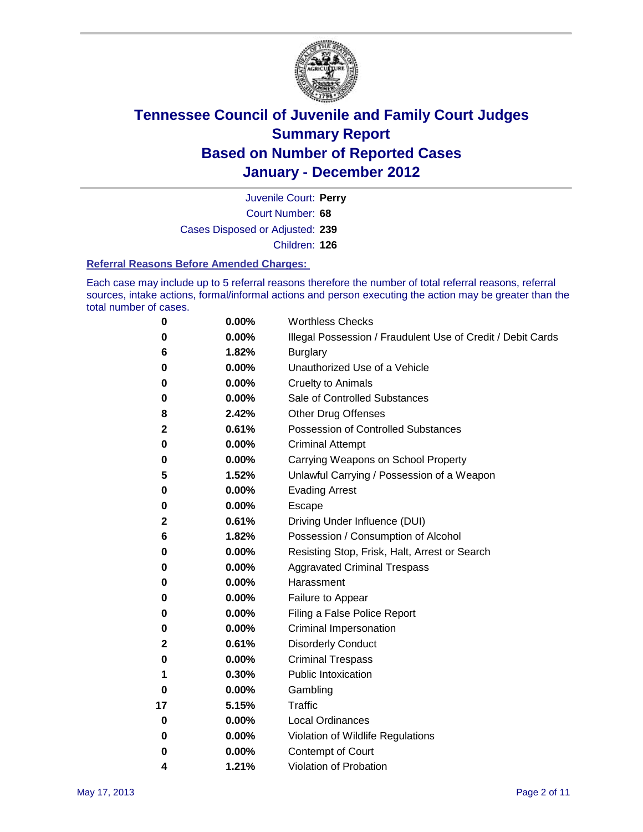

Court Number: **68** Juvenile Court: **Perry** Cases Disposed or Adjusted: **239** Children: **126**

#### **Referral Reasons Before Amended Charges:**

Each case may include up to 5 referral reasons therefore the number of total referral reasons, referral sources, intake actions, formal/informal actions and person executing the action may be greater than the total number of cases.

| 0  | 0.00% | <b>Worthless Checks</b>                                     |
|----|-------|-------------------------------------------------------------|
| 0  | 0.00% | Illegal Possession / Fraudulent Use of Credit / Debit Cards |
| 6  | 1.82% | <b>Burglary</b>                                             |
| 0  | 0.00% | Unauthorized Use of a Vehicle                               |
| 0  | 0.00% | <b>Cruelty to Animals</b>                                   |
| 0  | 0.00% | Sale of Controlled Substances                               |
| 8  | 2.42% | <b>Other Drug Offenses</b>                                  |
| 2  | 0.61% | Possession of Controlled Substances                         |
| 0  | 0.00% | <b>Criminal Attempt</b>                                     |
| 0  | 0.00% | Carrying Weapons on School Property                         |
| 5  | 1.52% | Unlawful Carrying / Possession of a Weapon                  |
| 0  | 0.00% | <b>Evading Arrest</b>                                       |
| 0  | 0.00% | Escape                                                      |
| 2  | 0.61% | Driving Under Influence (DUI)                               |
| 6  | 1.82% | Possession / Consumption of Alcohol                         |
| 0  | 0.00% | Resisting Stop, Frisk, Halt, Arrest or Search               |
| 0  | 0.00% | <b>Aggravated Criminal Trespass</b>                         |
| 0  | 0.00% | Harassment                                                  |
| 0  | 0.00% | Failure to Appear                                           |
| 0  | 0.00% | Filing a False Police Report                                |
| 0  | 0.00% | Criminal Impersonation                                      |
| 2  | 0.61% | <b>Disorderly Conduct</b>                                   |
| 0  | 0.00% | <b>Criminal Trespass</b>                                    |
| 1  | 0.30% | <b>Public Intoxication</b>                                  |
| 0  | 0.00% | Gambling                                                    |
| 17 | 5.15% | <b>Traffic</b>                                              |
| 0  | 0.00% | <b>Local Ordinances</b>                                     |
| 0  | 0.00% | Violation of Wildlife Regulations                           |
| 0  | 0.00% | Contempt of Court                                           |
| 4  | 1.21% | Violation of Probation                                      |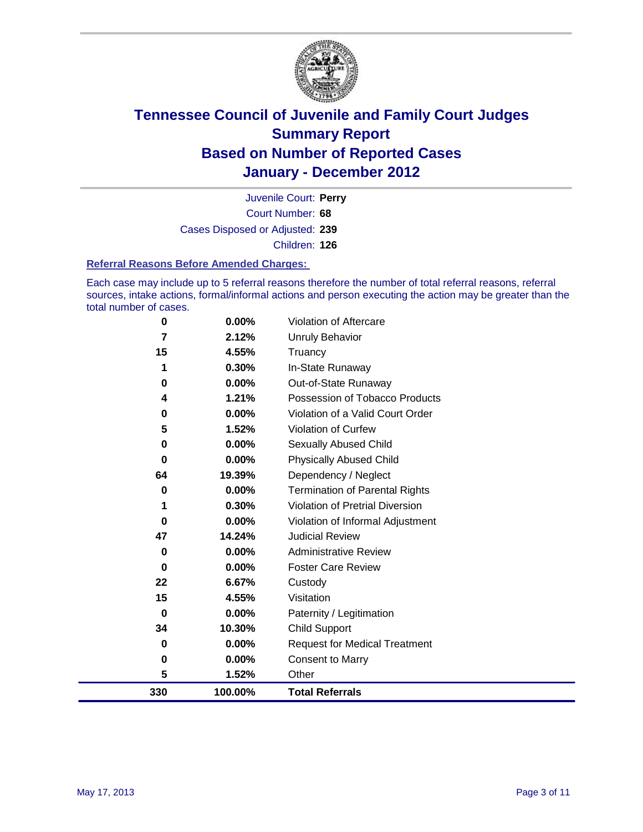

Court Number: **68** Juvenile Court: **Perry** Cases Disposed or Adjusted: **239** Children: **126**

#### **Referral Reasons Before Amended Charges:**

Each case may include up to 5 referral reasons therefore the number of total referral reasons, referral sources, intake actions, formal/informal actions and person executing the action may be greater than the total number of cases.

| 0        | 0.00%    | Violation of Aftercare                 |
|----------|----------|----------------------------------------|
| 7        | 2.12%    | <b>Unruly Behavior</b>                 |
| 15       | 4.55%    | Truancy                                |
|          | 0.30%    | In-State Runaway                       |
| 0        | 0.00%    | Out-of-State Runaway                   |
| 4        | 1.21%    | Possession of Tobacco Products         |
| 0        | 0.00%    | Violation of a Valid Court Order       |
| 5        | 1.52%    | Violation of Curfew                    |
| 0        | 0.00%    | Sexually Abused Child                  |
| 0        | 0.00%    | <b>Physically Abused Child</b>         |
| 64       | 19.39%   | Dependency / Neglect                   |
| 0        | 0.00%    | <b>Termination of Parental Rights</b>  |
| 1        | 0.30%    | <b>Violation of Pretrial Diversion</b> |
| 0        | 0.00%    | Violation of Informal Adjustment       |
| 47       | 14.24%   | <b>Judicial Review</b>                 |
| 0        | $0.00\%$ | <b>Administrative Review</b>           |
| $\bf{0}$ | $0.00\%$ | <b>Foster Care Review</b>              |
| 22       | 6.67%    | Custody                                |
| 15       | 4.55%    | Visitation                             |
| 0        | $0.00\%$ | Paternity / Legitimation               |
| 34       | 10.30%   | <b>Child Support</b>                   |
| 0        | $0.00\%$ | <b>Request for Medical Treatment</b>   |
| 0        | 0.00%    | <b>Consent to Marry</b>                |
| 5        | 1.52%    | Other                                  |
| 330      | 100.00%  | <b>Total Referrals</b>                 |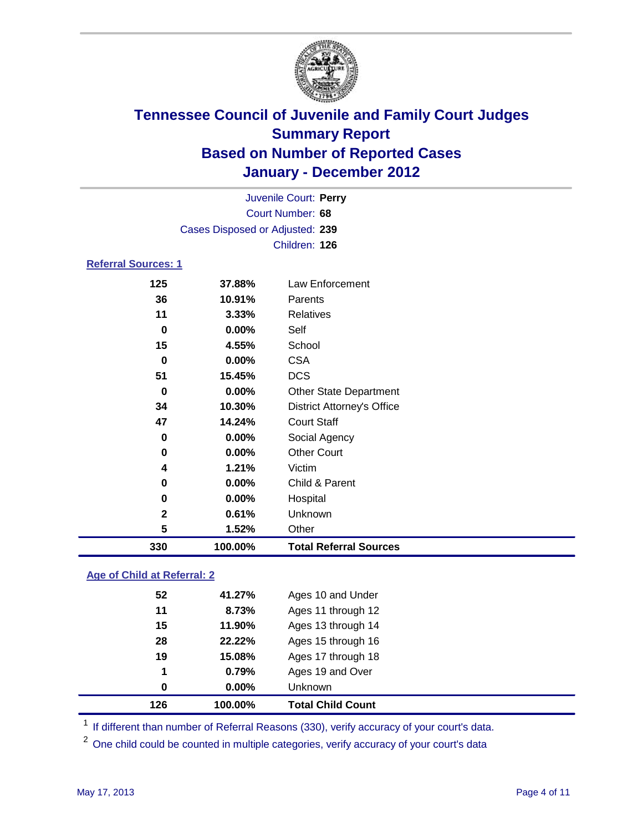

|                            | Juvenile Court: Perry           |                                   |  |  |  |
|----------------------------|---------------------------------|-----------------------------------|--|--|--|
| Court Number: 68           |                                 |                                   |  |  |  |
|                            | Cases Disposed or Adjusted: 239 |                                   |  |  |  |
|                            |                                 | Children: 126                     |  |  |  |
| <b>Referral Sources: 1</b> |                                 |                                   |  |  |  |
| 125                        | 37.88%                          | <b>Law Enforcement</b>            |  |  |  |
| 36                         | 10.91%                          | Parents                           |  |  |  |
| 11                         | 3.33%                           | <b>Relatives</b>                  |  |  |  |
| 0                          | 0.00%                           | Self                              |  |  |  |
| 15                         | 4.55%                           | School                            |  |  |  |
| 0                          | 0.00%                           | <b>CSA</b>                        |  |  |  |
| 51                         | 15.45%                          | <b>DCS</b>                        |  |  |  |
| 0                          | 0.00%                           | <b>Other State Department</b>     |  |  |  |
| 34                         | 10.30%                          | <b>District Attorney's Office</b> |  |  |  |
| 47                         | 14.24%                          | <b>Court Staff</b>                |  |  |  |
| 0                          | 0.00%                           | Social Agency                     |  |  |  |
| 0                          | 0.00%                           | <b>Other Court</b>                |  |  |  |
| 4                          | 1.21%                           | Victim                            |  |  |  |
| 0                          | 0.00%                           | Child & Parent                    |  |  |  |
| 0                          | 0.00%                           | Hospital                          |  |  |  |
| 2                          | 0.61%                           | Unknown                           |  |  |  |
| 5                          | 1.52%                           | Other                             |  |  |  |
| 330                        | 100.00%                         | <b>Total Referral Sources</b>     |  |  |  |
|                            |                                 |                                   |  |  |  |

### **Age of Child at Referral: 2**

| 0  | $0.00\%$ | <b>Unknown</b>     |  |
|----|----------|--------------------|--|
| 1  | 0.79%    | Ages 19 and Over   |  |
| 19 | 15.08%   | Ages 17 through 18 |  |
| 28 | 22.22%   | Ages 15 through 16 |  |
| 15 | 11.90%   | Ages 13 through 14 |  |
| 11 | 8.73%    | Ages 11 through 12 |  |
| 52 | 41.27%   | Ages 10 and Under  |  |
|    |          |                    |  |

<sup>1</sup> If different than number of Referral Reasons (330), verify accuracy of your court's data.

<sup>2</sup> One child could be counted in multiple categories, verify accuracy of your court's data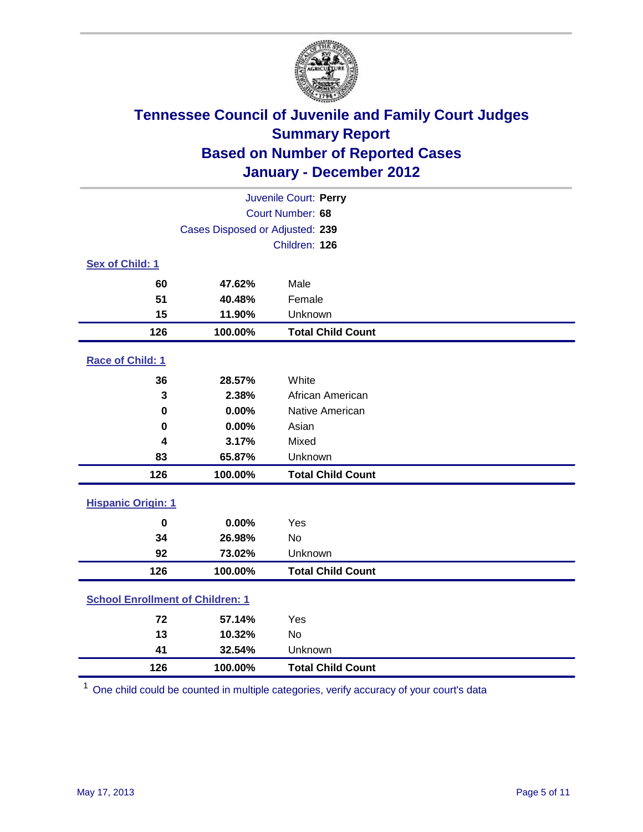

| Juvenile Court: Perry                   |                                 |                          |  |  |
|-----------------------------------------|---------------------------------|--------------------------|--|--|
| Court Number: 68                        |                                 |                          |  |  |
|                                         | Cases Disposed or Adjusted: 239 |                          |  |  |
|                                         |                                 | Children: 126            |  |  |
| Sex of Child: 1                         |                                 |                          |  |  |
| 60                                      | 47.62%                          | Male                     |  |  |
| 51                                      | 40.48%                          | Female                   |  |  |
| 15                                      | 11.90%                          | Unknown                  |  |  |
| 126                                     | 100.00%                         | <b>Total Child Count</b> |  |  |
| Race of Child: 1                        |                                 |                          |  |  |
| 36                                      | 28.57%                          | White                    |  |  |
| 3                                       | 2.38%                           | African American         |  |  |
| $\mathbf 0$                             | 0.00%                           | Native American          |  |  |
| $\mathbf 0$                             | 0.00%                           | Asian                    |  |  |
| 4                                       | 3.17%                           | Mixed                    |  |  |
| 83                                      | 65.87%                          | Unknown                  |  |  |
| 126                                     | 100.00%                         | <b>Total Child Count</b> |  |  |
| <b>Hispanic Origin: 1</b>               |                                 |                          |  |  |
| $\mathbf 0$                             | 0.00%                           | Yes                      |  |  |
| 34                                      | 26.98%                          | No                       |  |  |
| 92                                      | 73.02%                          | Unknown                  |  |  |
| 126                                     | 100.00%                         | <b>Total Child Count</b> |  |  |
| <b>School Enrollment of Children: 1</b> |                                 |                          |  |  |
| 72                                      | 57.14%                          | Yes                      |  |  |
| 13                                      | 10.32%                          | No                       |  |  |
| 41                                      | 32.54%                          | Unknown                  |  |  |
| 126                                     | 100.00%                         | <b>Total Child Count</b> |  |  |

One child could be counted in multiple categories, verify accuracy of your court's data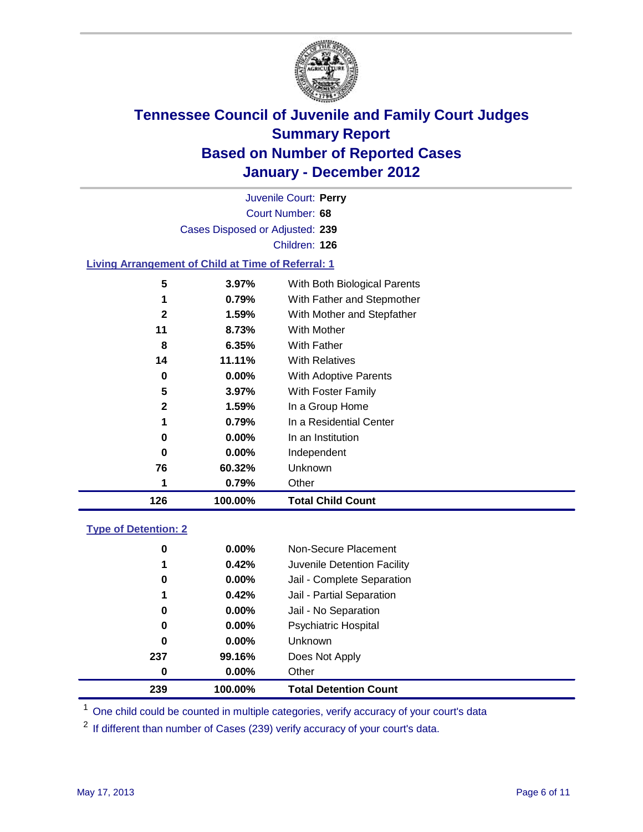

Court Number: **68** Juvenile Court: **Perry** Cases Disposed or Adjusted: **239** Children: **126**

#### **Living Arrangement of Child at Time of Referral: 1**

|              |          | Other                        |
|--------------|----------|------------------------------|
| 76           | 60.32%   | <b>Unknown</b>               |
| 0            | $0.00\%$ | Independent                  |
| 0            | $0.00\%$ | In an Institution            |
| 1            | 0.79%    | In a Residential Center      |
| 2            | 1.59%    | In a Group Home              |
| 5            | $3.97\%$ | With Foster Family           |
| 0            | $0.00\%$ | With Adoptive Parents        |
| 14           | 11.11%   | <b>With Relatives</b>        |
| 8            | 6.35%    | With Father                  |
| 11           | 8.73%    | With Mother                  |
| $\mathbf{2}$ | 1.59%    | With Mother and Stepfather   |
| 1            | 0.79%    | With Father and Stepmother   |
| 5            | $3.97\%$ | With Both Biological Parents |
|              |          | 0.79%                        |

#### **Type of Detention: 2**

| 239 | 100.00%  | <b>Total Detention Count</b> |
|-----|----------|------------------------------|
| 0   | $0.00\%$ | Other                        |
| 237 | 99.16%   | Does Not Apply               |
| 0   | $0.00\%$ | <b>Unknown</b>               |
| 0   | 0.00%    | <b>Psychiatric Hospital</b>  |
| 0   | 0.00%    | Jail - No Separation         |
| 1   | 0.42%    | Jail - Partial Separation    |
| 0   | $0.00\%$ | Jail - Complete Separation   |
| 1   | 0.42%    | Juvenile Detention Facility  |
| 0   | $0.00\%$ | Non-Secure Placement         |
|     |          |                              |

<sup>1</sup> One child could be counted in multiple categories, verify accuracy of your court's data

<sup>2</sup> If different than number of Cases (239) verify accuracy of your court's data.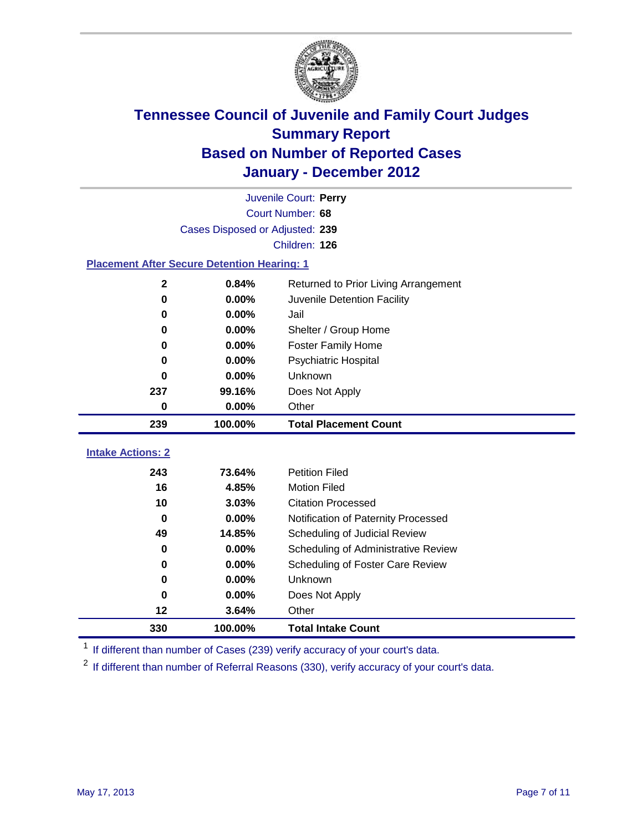

|                                                    | Juvenile Court: Perry           |                                      |  |  |  |
|----------------------------------------------------|---------------------------------|--------------------------------------|--|--|--|
|                                                    | Court Number: 68                |                                      |  |  |  |
|                                                    | Cases Disposed or Adjusted: 239 |                                      |  |  |  |
|                                                    |                                 | Children: 126                        |  |  |  |
| <b>Placement After Secure Detention Hearing: 1</b> |                                 |                                      |  |  |  |
| $\mathbf 2$                                        | 0.84%                           | Returned to Prior Living Arrangement |  |  |  |
| $\mathbf 0$                                        | 0.00%                           | Juvenile Detention Facility          |  |  |  |
| $\bf{0}$                                           | 0.00%                           | Jail                                 |  |  |  |
| 0                                                  | 0.00%                           | Shelter / Group Home                 |  |  |  |
| 0                                                  | 0.00%                           | Foster Family Home                   |  |  |  |
| 0                                                  | 0.00%                           | Psychiatric Hospital                 |  |  |  |
| 0                                                  | 0.00%                           | Unknown                              |  |  |  |
| 237                                                | 99.16%                          | Does Not Apply                       |  |  |  |
| 0                                                  | $0.00\%$                        | Other                                |  |  |  |
| 239                                                | 100.00%                         | <b>Total Placement Count</b>         |  |  |  |
| <b>Intake Actions: 2</b>                           |                                 |                                      |  |  |  |
|                                                    |                                 | <b>Petition Filed</b>                |  |  |  |
| 243<br>16                                          | 73.64%                          |                                      |  |  |  |
|                                                    | 4.85%                           | <b>Motion Filed</b>                  |  |  |  |
| 10                                                 | 3.03%                           | <b>Citation Processed</b>            |  |  |  |
| $\Omega$                                           | 0.00%                           | Notification of Paternity Processed  |  |  |  |
| 49                                                 | 14.85%                          | Scheduling of Judicial Review        |  |  |  |
| 0                                                  | 0.00%                           | Scheduling of Administrative Review  |  |  |  |
| 0                                                  | 0.00%                           | Scheduling of Foster Care Review     |  |  |  |
| 0                                                  | 0.00%                           | Unknown                              |  |  |  |
| 0                                                  | 0.00%                           | Does Not Apply                       |  |  |  |
| 12                                                 | 3.64%                           | Other                                |  |  |  |
| 330                                                | 100.00%                         | <b>Total Intake Count</b>            |  |  |  |

<sup>1</sup> If different than number of Cases (239) verify accuracy of your court's data.

<sup>2</sup> If different than number of Referral Reasons (330), verify accuracy of your court's data.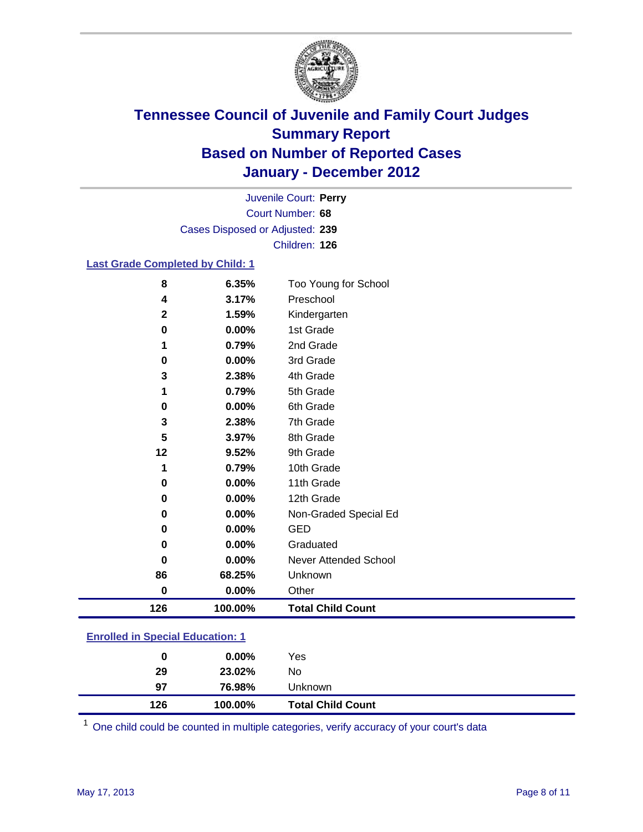

Court Number: **68** Juvenile Court: **Perry** Cases Disposed or Adjusted: **239** Children: **126**

#### **Last Grade Completed by Child: 1**

| 126         | 100.00%        | <b>Total Child Count</b>          |  |
|-------------|----------------|-----------------------------------|--|
| $\mathbf 0$ | 0.00%          | Other                             |  |
| 86          | 68.25%         | Unknown                           |  |
| 0           | 0.00%          | Never Attended School             |  |
| 0           | 0.00%          | Graduated                         |  |
| 0           | 0.00%          | <b>GED</b>                        |  |
| 0           | 0.00%          | Non-Graded Special Ed             |  |
| 0           | 0.00%          | 12th Grade                        |  |
| 0           | 0.00%          | 11th Grade                        |  |
| 1           | 0.79%          | 10th Grade                        |  |
| 12          | 9.52%          | 9th Grade                         |  |
| 5           | 3.97%          | 8th Grade                         |  |
| 3           | 2.38%          | 7th Grade                         |  |
| 0           | 0.00%          | 6th Grade                         |  |
| 1           | 0.79%          | 5th Grade                         |  |
| 3           | 2.38%          | 4th Grade                         |  |
| 0           | 0.00%          | 3rd Grade                         |  |
|             | 0.79%          | 2nd Grade                         |  |
| 0           | 0.00%          | 1st Grade                         |  |
| $\mathbf 2$ | 1.59%          | Kindergarten                      |  |
| 8<br>4      | 6.35%<br>3.17% | Too Young for School<br>Preschool |  |

### **Enrolled in Special Education: 1**

| 126 | 100.00%  | <b>Total Child Count</b> |  |
|-----|----------|--------------------------|--|
| 97  | 76.98%   | <b>Unknown</b>           |  |
| 29  | 23.02%   | No                       |  |
| 0   | $0.00\%$ | Yes                      |  |
|     |          |                          |  |

One child could be counted in multiple categories, verify accuracy of your court's data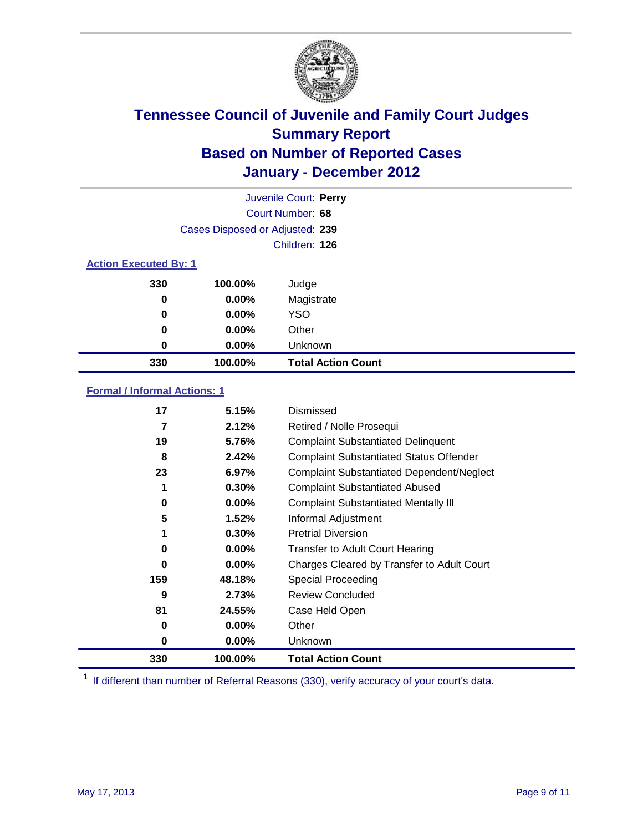

|                              |                                 | Juvenile Court: Perry     |
|------------------------------|---------------------------------|---------------------------|
|                              |                                 | Court Number: 68          |
|                              | Cases Disposed or Adjusted: 239 |                           |
|                              |                                 | Children: 126             |
| <b>Action Executed By: 1</b> |                                 |                           |
| 330                          | 100.00%                         | Judge                     |
| 0                            | $0.00\%$                        | Magistrate                |
| 0                            | $0.00\%$                        | <b>YSO</b>                |
| 0                            | 0.00%                           | Other                     |
| 0                            | 0.00%                           | Unknown                   |
| 330                          | 100.00%                         | <b>Total Action Count</b> |

### **Formal / Informal Actions: 1**

| 17  | 5.15%    | Dismissed                                        |
|-----|----------|--------------------------------------------------|
| 7   | 2.12%    | Retired / Nolle Prosequi                         |
| 19  | 5.76%    | <b>Complaint Substantiated Delinquent</b>        |
| 8   | 2.42%    | <b>Complaint Substantiated Status Offender</b>   |
| 23  | 6.97%    | <b>Complaint Substantiated Dependent/Neglect</b> |
| 1   | 0.30%    | <b>Complaint Substantiated Abused</b>            |
| 0   | $0.00\%$ | <b>Complaint Substantiated Mentally III</b>      |
| 5   | 1.52%    | Informal Adjustment                              |
| 1   | 0.30%    | <b>Pretrial Diversion</b>                        |
| 0   | $0.00\%$ | <b>Transfer to Adult Court Hearing</b>           |
| 0   | $0.00\%$ | Charges Cleared by Transfer to Adult Court       |
| 159 | 48.18%   | Special Proceeding                               |
| 9   | 2.73%    | <b>Review Concluded</b>                          |
| 81  | 24.55%   | Case Held Open                                   |
| 0   | $0.00\%$ | Other                                            |
| 0   | $0.00\%$ | <b>Unknown</b>                                   |
| 330 | 100.00%  | <b>Total Action Count</b>                        |

<sup>1</sup> If different than number of Referral Reasons (330), verify accuracy of your court's data.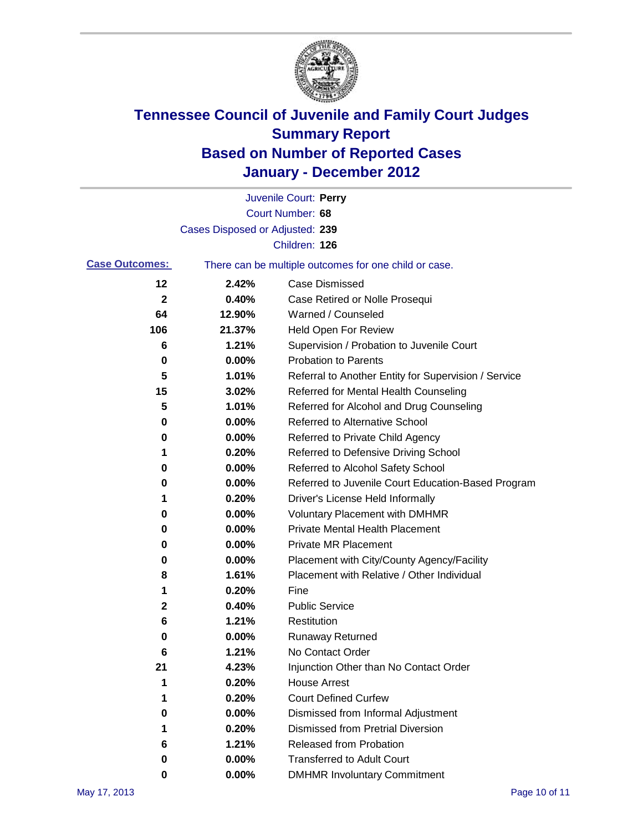

|                       |                                 | Juvenile Court: Perry                                 |
|-----------------------|---------------------------------|-------------------------------------------------------|
|                       |                                 | Court Number: 68                                      |
|                       | Cases Disposed or Adjusted: 239 |                                                       |
|                       |                                 | Children: 126                                         |
| <b>Case Outcomes:</b> |                                 | There can be multiple outcomes for one child or case. |
| 12                    | 2.42%                           | <b>Case Dismissed</b>                                 |
| 2                     | 0.40%                           | Case Retired or Nolle Prosequi                        |
| 64                    | 12.90%                          | Warned / Counseled                                    |
| 106                   | 21.37%                          | Held Open For Review                                  |
| 6                     | 1.21%                           | Supervision / Probation to Juvenile Court             |
| 0                     | 0.00%                           | <b>Probation to Parents</b>                           |
| 5                     | 1.01%                           | Referral to Another Entity for Supervision / Service  |
| 15                    | 3.02%                           | Referred for Mental Health Counseling                 |
| 5                     | 1.01%                           | Referred for Alcohol and Drug Counseling              |
| 0                     | 0.00%                           | <b>Referred to Alternative School</b>                 |
| 0                     | 0.00%                           | Referred to Private Child Agency                      |
| 1                     | 0.20%                           | Referred to Defensive Driving School                  |
| 0                     | 0.00%                           | Referred to Alcohol Safety School                     |
| 0                     | 0.00%                           | Referred to Juvenile Court Education-Based Program    |
| 1                     | 0.20%                           | Driver's License Held Informally                      |
| 0                     | 0.00%                           | <b>Voluntary Placement with DMHMR</b>                 |
| 0                     | 0.00%                           | <b>Private Mental Health Placement</b>                |
| 0                     | 0.00%                           | <b>Private MR Placement</b>                           |
| 0                     | 0.00%                           | Placement with City/County Agency/Facility            |
| 8                     | 1.61%                           | Placement with Relative / Other Individual            |
| 1                     | 0.20%                           | Fine                                                  |
| 2                     | 0.40%                           | <b>Public Service</b>                                 |
| 6                     | 1.21%                           | Restitution                                           |
| 0                     | 0.00%                           | <b>Runaway Returned</b>                               |
| 6                     | 1.21%                           | No Contact Order                                      |
| 21                    | 4.23%                           | Injunction Other than No Contact Order                |
| 1                     | 0.20%                           | <b>House Arrest</b>                                   |
| 1                     | 0.20%                           | <b>Court Defined Curfew</b>                           |
| 0                     | 0.00%                           | Dismissed from Informal Adjustment                    |
| 1                     | 0.20%                           | <b>Dismissed from Pretrial Diversion</b>              |
| 6                     | 1.21%                           | Released from Probation                               |
| 0                     | 0.00%                           | <b>Transferred to Adult Court</b>                     |
| 0                     | $0.00\%$                        | <b>DMHMR Involuntary Commitment</b>                   |